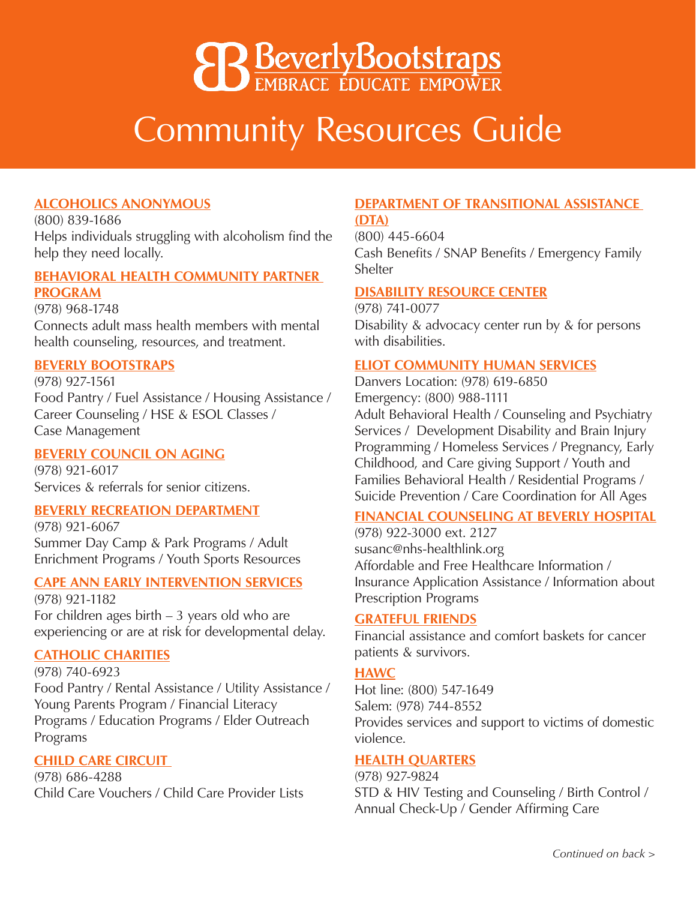# **8 Beverly Bootstraps**

# Community Resources Guide

# **ALCOHOLICS ANONYMOUS**

(800) 839-1686 Helps individuals struggling with alcoholism find the help they need locally.

#### **BEHAVIORAL HEALTH COMMUNITY PARTNER PROGRAM**

(978) 968-1748 Connects adult mass health members with mental health counseling, resources, and treatment.

## **BEVERLY BOOTSTRAPS**

(978) 927-1561 Food Pantry / Fuel Assistance / Housing Assistance / Career Counseling / HSE & ESOL Classes / Case Management

# **BEVERLY COUNCIL ON AGING**

(978) 921-6017 Services & referrals for senior citizens.

#### **BEVERLY RECREATION DEPARTMENT**

(978) 921-6067 Summer Day Camp & Park Programs / Adult Enrichment Programs / Youth Sports Resources

#### **CAPE ANN EARLY INTERVENTION SERVICES**

(978) 921-1182 For children ages birth  $-3$  years old who are experiencing or are at risk for developmental delay.

#### **CATHOLIC CHARITIES**

(978) 740-6923 Food Pantry / Rental Assistance / Utility Assistance / Young Parents Program / Financial Literacy Programs / Education Programs / Elder Outreach Programs

# **CHILD CARE CIRCUIT**

(978) 686-4288 Child Care Vouchers / Child Care Provider Lists

#### **DEPARTMENT OF TRANSITIONAL ASSISTANCE (DTA)**

(800) 445-6604 Cash Benefits / SNAP Benefits / Emergency Family Shelter

#### **DISABILITY RESOURCE CENTER**

(978) 741-0077 Disability & advocacy center run by & for persons with disabilities.

#### **ELIOT COMMUNITY HUMAN SERVICES**

Danvers Location: (978) 619-6850 Emergency: (800) 988-1111 Adult Behavioral Health / Counseling and Psychiatry Services / Development Disability and Brain Injury Programming / Homeless Services / Pregnancy, Early Childhood, and Care giving Support / Youth and Families Behavioral Health / Residential Programs / Suicide Prevention / Care Coordination for All Ages

# **FINANCIAL COUNSELING AT BEVERLY HOSPITAL**

(978) 922-3000 ext. 2127 susanc@nhs-healthlink.org Affordable and Free Healthcare Information / Insurance Application Assistance / Information about Prescription Programs

# **GRATEFUL FRIENDS**

Financial assistance and comfort baskets for cancer patients & survivors.

# **HAWC**

Hot line: (800) 547-1649 Salem: (978) 744-8552 Provides services and support to victims of domestic violence.

# **HEALTH QUARTERS**

(978) 927-9824 STD & HIV Testing and Counseling / Birth Control / Annual Check-Up / Gender Affirming Care